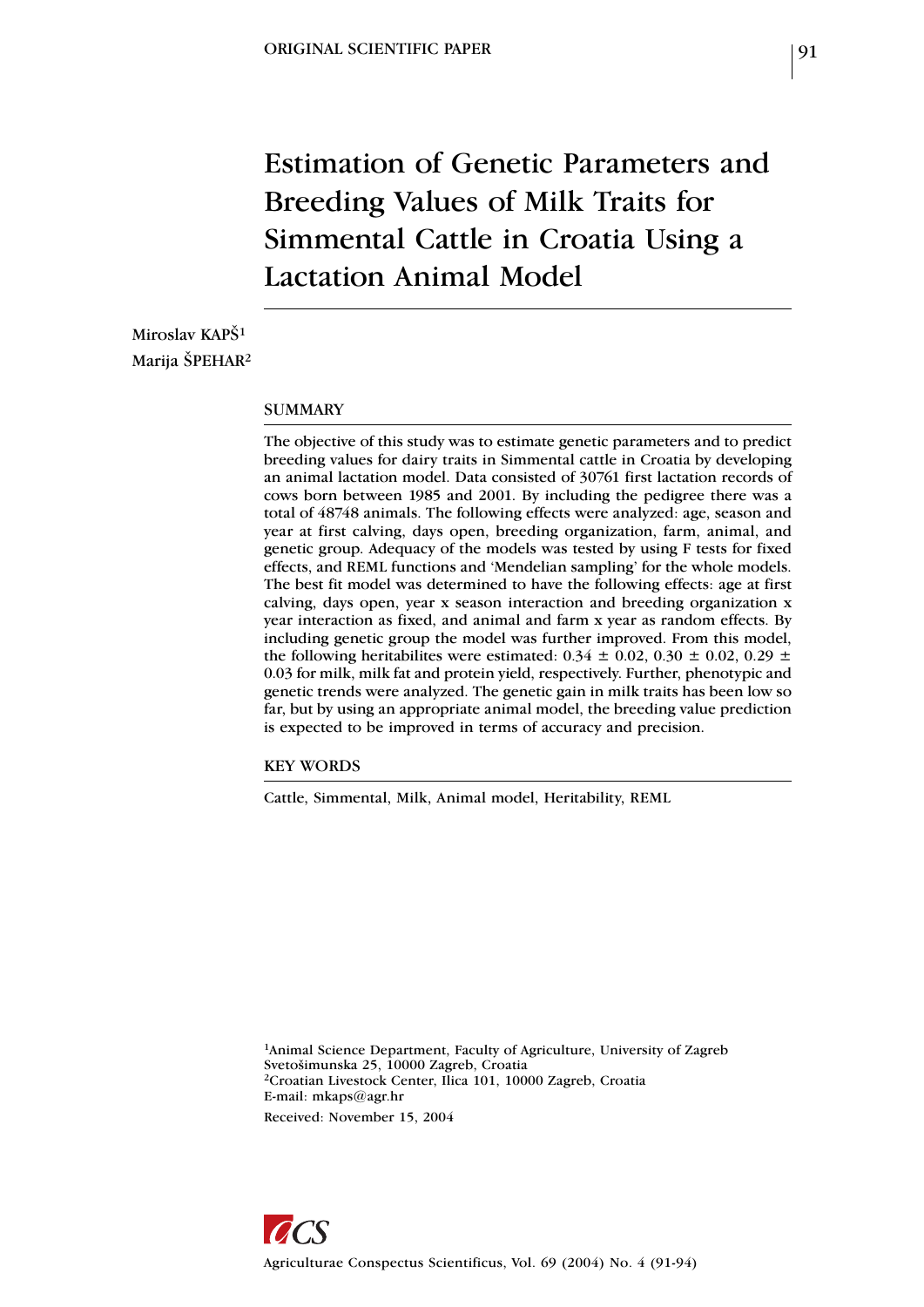# Estimation of Genetic Parameters and Breeding Values of Milk Traits for Simmental Cattle in Croatia Using a Lactation Animal Model

Miroslav KAPŠ<sup>1</sup> Marija ŠPEHAR2

#### SUMMARY

The objective of this study was to estimate genetic parameters and to predict breeding values for dairy traits in Simmental cattle in Croatia by developing an animal lactation model. Data consisted of 30761 first lactation records of cows born between 1985 and 2001. By including the pedigree there was a total of 48748 animals. The following effects were analyzed: age, season and year at first calving, days open, breeding organization, farm, animal, and genetic group. Adequacy of the models was tested by using F tests for fixed effects, and REML functions and 'Mendelian sampling' for the whole models. The best fit model was determined to have the following effects: age at first calving, days open, year x season interaction and breeding organization x year interaction as fixed, and animal and farm x year as random effects. By including genetic group the model was further improved. From this model, the following heritabilites were estimated:  $0.34 \pm 0.02$ ,  $0.30 \pm 0.02$ ,  $0.29 \pm 0.02$ 0.03 for milk, milk fat and protein yield, respectively. Further, phenotypic and genetic trends were analyzed. The genetic gain in milk traits has been low so far, but by using an appropriate animal model, the breeding value prediction is expected to be improved in terms of accuracy and precision.

KEY WORDS

Cattle, Simmental, Milk, Animal model, Heritability, REML

1Animal Science Department, Faculty of Agriculture, University of Zagreb Svetošimunska 25, 10000 Zagreb, Croatia 2Croatian Livestock Center, Ilica 101, 10000 Zagreb, Croatia E-mail: mkaps@agr.hr Received: November 15, 2004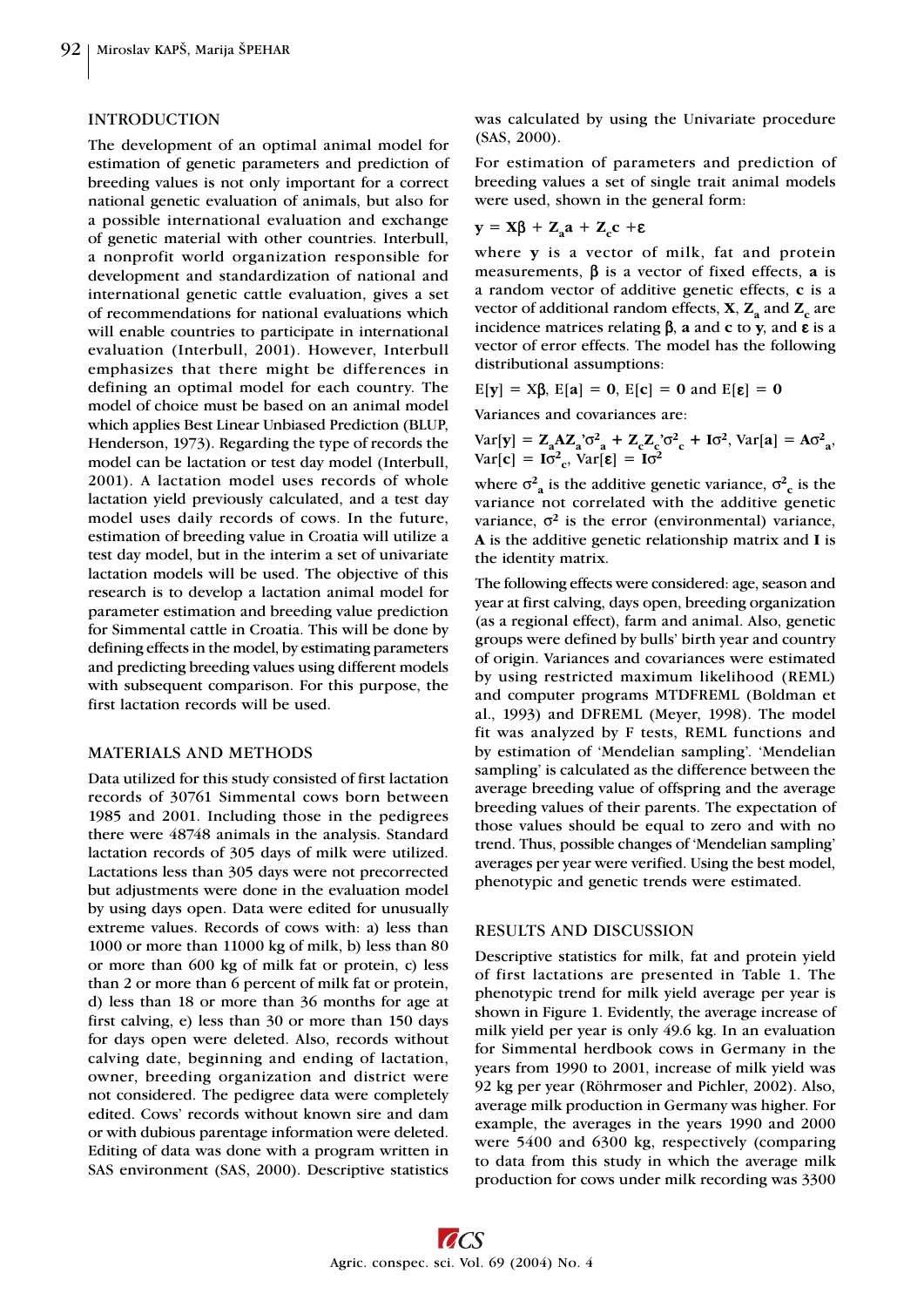#### INTRODUCTION

The development of an optimal animal model for estimation of genetic parameters and prediction of breeding values is not only important for a correct national genetic evaluation of animals, but also for a possible international evaluation and exchange of genetic material with other countries. Interbull, a nonprofit world organization responsible for development and standardization of national and international genetic cattle evaluation, gives a set of recommendations for national evaluations which will enable countries to participate in international evaluation (Interbull, 2001). However, Interbull emphasizes that there might be differences in defining an optimal model for each country. The model of choice must be based on an animal model which applies Best Linear Unbiased Prediction (BLUP, Henderson, 1973). Regarding the type of records the model can be lactation or test day model (Interbull, 2001). A lactation model uses records of whole lactation yield previously calculated, and a test day model uses daily records of cows. In the future, estimation of breeding value in Croatia will utilize a test day model, but in the interim a set of univariate lactation models will be used. The objective of this research is to develop a lactation animal model for parameter estimation and breeding value prediction for Simmental cattle in Croatia. This will be done by defining effects in the model, by estimating parameters and predicting breeding values using different models with subsequent comparison. For this purpose, the first lactation records will be used.

## MATERIALS AND METHODS

Data utilized for this study consisted of first lactation records of 30761 Simmental cows born between 1985 and 2001. Including those in the pedigrees there were 48748 animals in the analysis. Standard lactation records of 305 days of milk were utilized. Lactations less than 305 days were not precorrected but adjustments were done in the evaluation model by using days open. Data were edited for unusually extreme values. Records of cows with: a) less than 1000 or more than 11000 kg of milk, b) less than 80 or more than 600 kg of milk fat or protein, c) less than 2 or more than 6 percent of milk fat or protein, d) less than 18 or more than 36 months for age at first calving, e) less than 30 or more than 150 days for days open were deleted. Also, records without calving date, beginning and ending of lactation, owner, breeding organization and district were not considered. The pedigree data were completely edited. Cows' records without known sire and dam or with dubious parentage information were deleted. Editing of data was done with a program written in SAS environment (SAS, 2000). Descriptive statistics was calculated by using the Univariate procedure (SAS, 2000).

For estimation of parameters and prediction of breeding values a set of single trait animal models were used, shown in the general form:

$$
y = X\beta + Z_a a + Z_c c + \epsilon
$$

where **y** is a vector of milk, fat and protein measurements, β is a vector of fixed effects, **a** is a random vector of additive genetic effects, **c** is a vector of additional random effects,  $X$ ,  $Z$ <sub>a</sub> and  $Z_c$  are incidence matrices relating β, **a** and **c** to **y**, and ε is a vector of error effects. The model has the following distributional assumptions:

$$
E[y] = X\beta, E[a] = 0, E[c] = 0 \text{ and } E[\epsilon] = 0
$$

Variances and covariances are:

$$
Var[y] = Z_a A Z_a' \sigma_{a}^2 + Z_c Z_c' \sigma_{c}^2 + I \sigma_{c}^2, Var[a] = A \sigma_{a}^2,
$$
  
 
$$
Var[c] = I \sigma_{c}^2, Var[\epsilon] = I \sigma_{c}^2
$$

where  $\sigma^2$ <sup>2</sup> is the additive genetic variance,  $\sigma^2$ <sup>2</sup> is the variance not correlated with the additive genetic variance,  $\sigma^2$  is the error (environmental) variance, **A** is the additive genetic relationship matrix and **I** is the identity matrix.

The following effects were considered: age, season and year at first calving, days open, breeding organization (as a regional effect), farm and animal. Also, genetic groups were defined by bulls' birth year and country of origin. Variances and covariances were estimated by using restricted maximum likelihood (REML) and computer programs MTDFREML (Boldman et al., 1993) and DFREML (Meyer, 1998). The model fit was analyzed by F tests, REML functions and by estimation of 'Mendelian sampling'. 'Mendelian sampling' is calculated as the difference between the average breeding value of offspring and the average breeding values of their parents. The expectation of those values should be equal to zero and with no trend. Thus, possible changes of 'Mendelian sampling' averages per year were verified. Using the best model, phenotypic and genetic trends were estimated.

## RESULTS AND DISCUSSION

Descriptive statistics for milk, fat and protein yield of first lactations are presented in Table 1. The phenotypic trend for milk yield average per year is shown in Figure 1. Evidently, the average increase of milk yield per year is only 49.6 kg. In an evaluation for Simmental herdbook cows in Germany in the years from 1990 to 2001, increase of milk yield was 92 kg per year (Röhrmoser and Pichler, 2002). Also, average milk production in Germany was higher. For example, the averages in the years 1990 and 2000 were 5400 and 6300 kg, respectively (comparing to data from this study in which the average milk production for cows under milk recording was 3300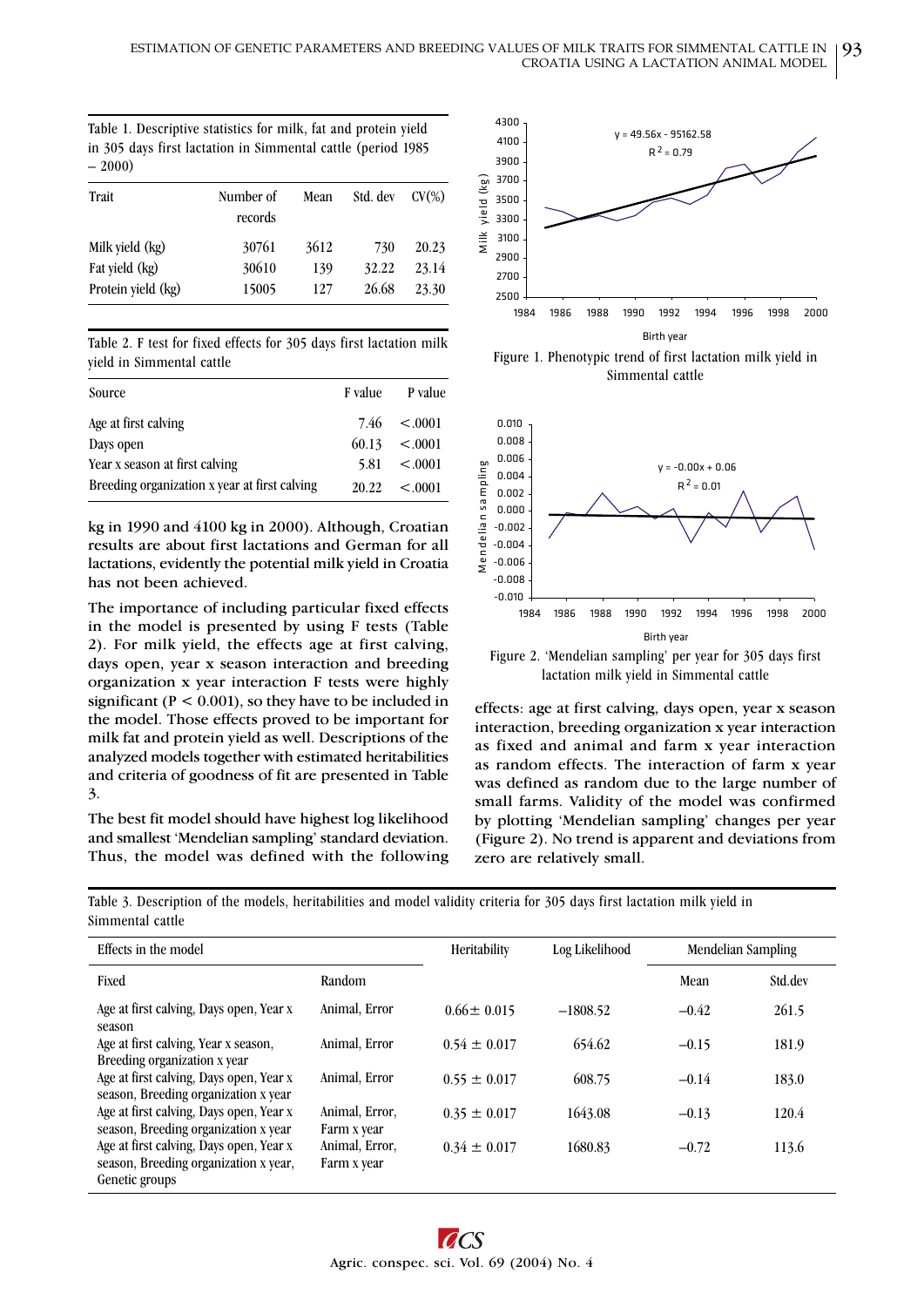| Table 1. Descriptive statistics for milk, fat and protein vield |  |
|-----------------------------------------------------------------|--|
| in 305 days first lactation in Simmental cattle (period 1985)   |  |
| $-2000$                                                         |  |

| Trait              | Number of<br>records | Mean | Std. dev | $CV(\%)$ |
|--------------------|----------------------|------|----------|----------|
| Milk yield (kg)    | 30761                | 3612 | 730      | 20.23    |
| Fat yield (kg)     | 30610                | 139  | 32.22    | 23.14    |
| Protein yield (kg) | 15005                | 127  | 26.68    | 23.30    |

Table 2. F test for fixed effects for 305 days first lactation milk yield in Simmental cattle

| Source                                        | F value | P value          |
|-----------------------------------------------|---------|------------------|
| Age at first calving                          |         | $7.46 \le 0.001$ |
| Days open                                     | 60.13   | < .0001          |
| Year x season at first calving                | 5.81    | $\leq 0.001$     |
| Breeding organization x year at first calving | 20.22   | < 0.001          |

kg in 1990 and 4100 kg in 2000). Although, Croatian results are about first lactations and German for all lactations, evidently the potential milk yield in Croatia has not been achieved.

The importance of including particular fixed effects in the model is presented by using F tests (Table 2). For milk yield, the effects age at first calving, days open, year x season interaction and breeding organization x year interaction F tests were highly significant ( $P < 0.001$ ), so they have to be included in the model. Those effects proved to be important for milk fat and protein yield as well. Descriptions of the analyzed models together with estimated heritabilities and criteria of goodness of fit are presented in Table 3.

The best fit model should have highest log likelihood and smallest 'Mendelian sampling' standard deviation. Thus, the model was defined with the following



Figure 1. Phenotypic trend of first lactation milk yield in Simmental cattle



Figure 2. 'Mendelian sampling' per year for 305 days first lactation milk yield in Simmental cattle

effects: age at first calving, days open, year x season interaction, breeding organization x year interaction as fixed and animal and farm x year interaction as random effects. The interaction of farm x year was defined as random due to the large number of small farms. Validity of the model was confirmed by plotting 'Mendelian sampling' changes per year (Figure 2). No trend is apparent and deviations from zero are relatively small.

Effects in the model **The Contract of Contract Acts** Heritability **Log Likelihood** Mendelian Sampling Fixed Std.dev Random Random Random Std.dev Random Random Random Random Random Random Random Random Random Rando Age at first calving, Days open, Year x season Animal, Error  $0.66 \pm 0.015$   $-1808.52$   $-0.42$   $261.5$ Age at first calving, Year x season, Breeding organization x year Animal, Error  $0.54 \pm 0.017$   $654.62$   $-0.15$   $181.9$ Age at first calving, Days open, Year x season, Breeding organization x year Animal, Error  $0.55 \pm 0.017$   $608.75$   $-0.14$   $183.0$ Age at first calving, Days open, Year x season, Breeding organization x year Animal, Error. Farm x year  $0.35 \pm 0.017$   $1643.08$   $-0.13$   $120.4$ Age at first calving, Days open, Year x season, Breeding organization x year, Genetic groups Animal, Error, Farm x year  $0.34 \pm 0.017$   $1680.83$   $-0.72$   $113.6$ 

Table 3. Description of the models, heritabilities and model validity criteria for 305 days first lactation milk yield in Simmental cattle